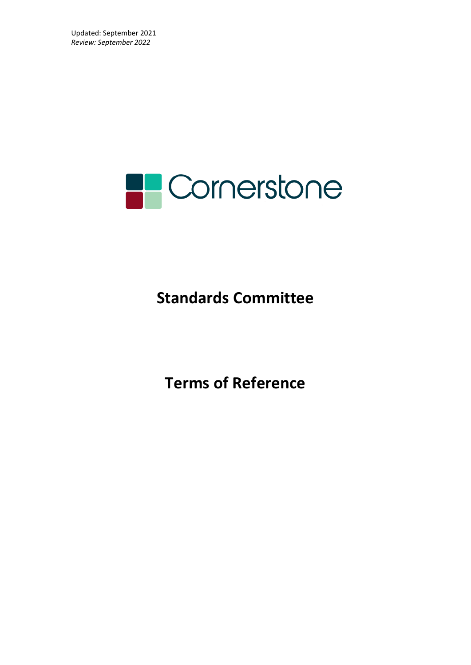

# **Standards Committee**

**Terms of Reference**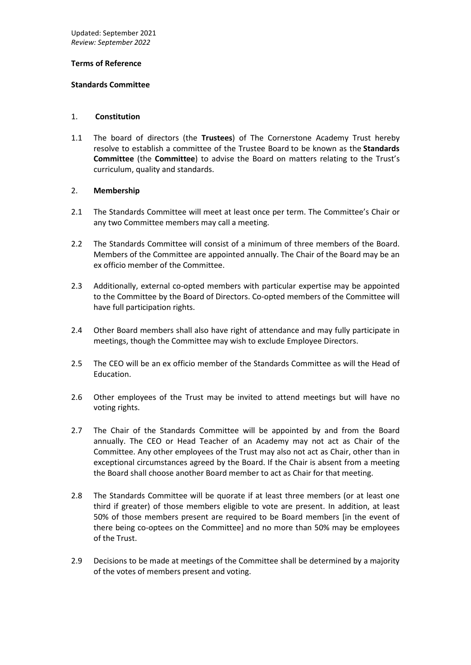## **Terms of Reference**

#### **Standards Committee**

#### 1. **Constitution**

1.1 The board of directors (the **Trustees**) of The Cornerstone Academy Trust hereby resolve to establish a committee of the Trustee Board to be known as the **Standards Committee** (the **Committee**) to advise the Board on matters relating to the Trust's curriculum, quality and standards.

## 2. **Membership**

- 2.1 The Standards Committee will meet at least once per term. The Committee's Chair or any two Committee members may call a meeting.
- 2.2 The Standards Committee will consist of a minimum of three members of the Board. Members of the Committee are appointed annually. The Chair of the Board may be an ex officio member of the Committee.
- 2.3 Additionally, external co-opted members with particular expertise may be appointed to the Committee by the Board of Directors. Co-opted members of the Committee will have full participation rights.
- 2.4 Other Board members shall also have right of attendance and may fully participate in meetings, though the Committee may wish to exclude Employee Directors.
- 2.5 The CEO will be an ex officio member of the Standards Committee as will the Head of Education.
- 2.6 Other employees of the Trust may be invited to attend meetings but will have no voting rights.
- 2.7 The Chair of the Standards Committee will be appointed by and from the Board annually. The CEO or Head Teacher of an Academy may not act as Chair of the Committee. Any other employees of the Trust may also not act as Chair, other than in exceptional circumstances agreed by the Board. If the Chair is absent from a meeting the Board shall choose another Board member to act as Chair for that meeting.
- 2.8 The Standards Committee will be quorate if at least three members (or at least one third if greater) of those members eligible to vote are present. In addition, at least 50% of those members present are required to be Board members [in the event of there being co-optees on the Committee] and no more than 50% may be employees of the Trust.
- 2.9 Decisions to be made at meetings of the Committee shall be determined by a majority of the votes of members present and voting.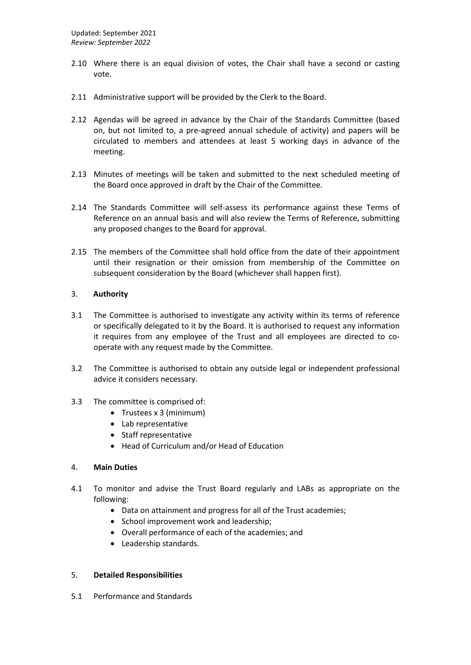- 2.10 Where there is an equal division of votes, the Chair shall have a second or casting vote.
- 2.11 Administrative support will be provided by the Clerk to the Board.
- 2.12 Agendas will be agreed in advance by the Chair of the Standards Committee (based on, but not limited to, a pre-agreed annual schedule of activity) and papers will be circulated to members and attendees at least 5 working days in advance of the meeting.
- 2.13 Minutes of meetings will be taken and submitted to the next scheduled meeting of the Board once approved in draft by the Chair of the Committee.
- 2.14 The Standards Committee will self-assess its performance against these Terms of Reference on an annual basis and will also review the Terms of Reference, submitting any proposed changes to the Board for approval.
- 2.15 The members of the Committee shall hold office from the date of their appointment until their resignation or their omission from membership of the Committee on subsequent consideration by the Board (whichever shall happen first).

# 3. **Authority**

- 3.1 The Committee is authorised to investigate any activity within its terms of reference or specifically delegated to it by the Board. It is authorised to request any information it requires from any employee of the Trust and all employees are directed to cooperate with any request made by the Committee.
- 3.2 The Committee is authorised to obtain any outside legal or independent professional advice it considers necessary.
- 3.3 The committee is comprised of:
	- Trustees x 3 (minimum)
	- Lab representative
	- Staff representative
	- Head of Curriculum and/or Head of Education

## 4. **Main Duties**

- 4.1 To monitor and advise the Trust Board regularly and LABs as appropriate on the following:
	- Data on attainment and progress for all of the Trust academies;
	- School improvement work and leadership;
	- Overall performance of each of the academies; and
	- Leadership standards.

# 5. **Detailed Responsibilities**

5.1 Performance and Standards